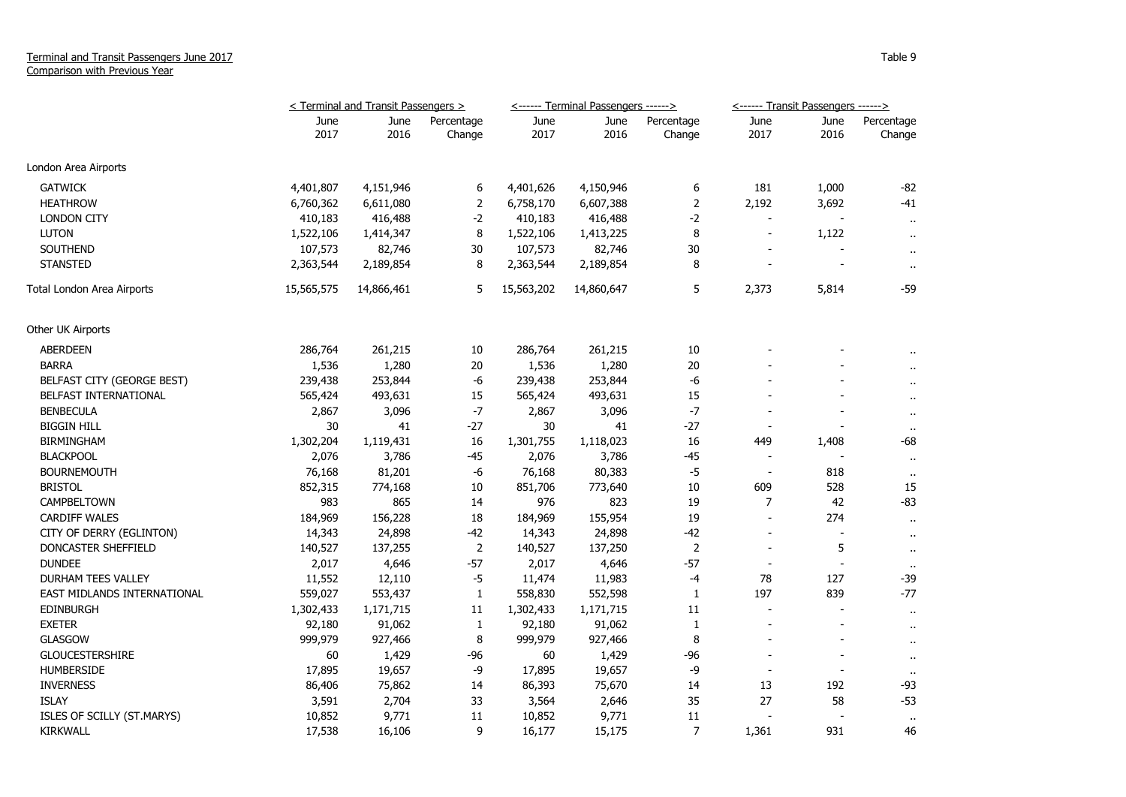## Terminal and Transit Passengers June 2017 Comparison with Previous Year

|                             | < Terminal and Transit Passengers > |              |                      |              | <------ Terminal Passengers ------> |                      | <------ Transit Passengers ------> |                          |                      |
|-----------------------------|-------------------------------------|--------------|----------------------|--------------|-------------------------------------|----------------------|------------------------------------|--------------------------|----------------------|
|                             | June<br>2017                        | June<br>2016 | Percentage<br>Change | June<br>2017 | June<br>2016                        | Percentage<br>Change | June<br>2017                       | June<br>2016             | Percentage<br>Change |
| London Area Airports        |                                     |              |                      |              |                                     |                      |                                    |                          |                      |
| <b>GATWICK</b>              | 4,401,807                           | 4,151,946    | 6                    | 4,401,626    | 4,150,946                           | 6                    | 181                                | 1,000                    | $-82$                |
| <b>HEATHROW</b>             | 6,760,362                           | 6,611,080    | $\overline{2}$       | 6,758,170    | 6,607,388                           | $\mathbf 2$          | 2,192                              | 3,692                    | $-41$                |
| <b>LONDON CITY</b>          | 410,183                             | 416,488      | $-2$                 | 410,183      | 416,488                             | $-2$                 |                                    |                          | $\cdot$ .            |
| <b>LUTON</b>                | 1,522,106                           | 1,414,347    | 8                    | 1,522,106    | 1,413,225                           | 8                    | $\overline{\phantom{a}}$           | 1,122                    | $\sim$               |
| SOUTHEND                    | 107,573                             | 82,746       | 30                   | 107,573      | 82,746                              | 30                   |                                    |                          | $\sim$               |
| <b>STANSTED</b>             | 2,363,544                           | 2,189,854    | 8                    | 2,363,544    | 2,189,854                           | 8                    |                                    |                          | $\mathbf{r}$ .       |
| Total London Area Airports  | 15,565,575                          | 14,866,461   | 5                    | 15,563,202   | 14,860,647                          | 5                    | 2,373                              | 5,814                    | -59                  |
| Other UK Airports           |                                     |              |                      |              |                                     |                      |                                    |                          |                      |
| <b>ABERDEEN</b>             | 286,764                             | 261,215      | 10                   | 286,764      | 261,215                             | 10                   |                                    |                          |                      |
| <b>BARRA</b>                | 1,536                               | 1,280        | 20                   | 1,536        | 1,280                               | 20                   |                                    |                          |                      |
| BELFAST CITY (GEORGE BEST)  | 239,438                             | 253,844      | $-6$                 | 239,438      | 253,844                             | -6                   |                                    |                          | $\ddot{\phantom{1}}$ |
| BELFAST INTERNATIONAL       | 565,424                             | 493,631      | 15                   | 565,424      | 493,631                             | 15                   |                                    |                          | $\ddot{\phantom{1}}$ |
| <b>BENBECULA</b>            | 2,867                               | 3,096        | -7                   | 2,867        | 3,096                               | $-7$                 |                                    |                          | $\blacksquare$       |
| <b>BIGGIN HILL</b>          | 30                                  | 41           | $-27$                | 30           | 41                                  | $-27$                |                                    |                          | $\bullet$            |
| <b>BIRMINGHAM</b>           | 1,302,204                           | 1,119,431    | 16                   | 1,301,755    | 1,118,023                           | 16                   | 449                                | 1,408                    | -68                  |
| <b>BLACKPOOL</b>            | 2,076                               | 3,786        | $-45$                | 2,076        | 3,786                               | $-45$                | $\overline{\phantom{a}}$           |                          | $\mathbf{u}$         |
| <b>BOURNEMOUTH</b>          | 76,168                              | 81,201       | -6                   | 76,168       | 80,383                              | $-5$                 | $\blacksquare$                     | 818                      | $\alpha$             |
| <b>BRISTOL</b>              | 852,315                             | 774,168      | 10                   | 851,706      | 773,640                             | 10                   | 609                                | 528                      | 15                   |
| CAMPBELTOWN                 | 983                                 | 865          | 14                   | 976          | 823                                 | 19                   | 7                                  | 42                       | $-83$                |
| <b>CARDIFF WALES</b>        | 184,969                             | 156,228      | 18                   | 184,969      | 155,954                             | 19                   | $\sim$                             | 274                      | $\mathbf{H}$         |
| CITY OF DERRY (EGLINTON)    | 14,343                              | 24,898       | $-42$                | 14,343       | 24,898                              | $-42$                |                                    |                          | $\sim$               |
| DONCASTER SHEFFIELD         | 140,527                             | 137,255      | $\overline{2}$       | 140,527      | 137,250                             | $\overline{2}$       |                                    | 5                        | $\sim$               |
| <b>DUNDEE</b>               | 2,017                               | 4,646        | $-57$                | 2,017        | 4,646                               | $-57$                |                                    | $\overline{\phantom{a}}$ | $\mathbf{H}$         |
| DURHAM TEES VALLEY          | 11,552                              | 12,110       | $-5$                 | 11,474       | 11,983                              | $-4$                 | 78                                 | 127                      | $-39$                |
| EAST MIDLANDS INTERNATIONAL | 559,027                             | 553,437      | $\mathbf 1$          | 558,830      | 552,598                             | $\mathbf{1}$         | 197                                | 839                      | $-77$                |
| <b>EDINBURGH</b>            | 1,302,433                           | 1,171,715    | 11                   | 1,302,433    | 1,171,715                           | 11                   | $\blacksquare$                     |                          | $\bullet$            |
| <b>EXETER</b>               | 92,180                              | 91,062       | $\mathbf{1}$         | 92,180       | 91,062                              | $\mathbf{1}$         | $\blacksquare$                     | $\blacksquare$           | $\sim$               |
| <b>GLASGOW</b>              | 999,979                             | 927,466      | 8                    | 999,979      | 927,466                             | 8                    |                                    |                          | $\sim$               |
| <b>GLOUCESTERSHIRE</b>      | 60                                  | 1,429        | $-96$                | 60           | 1,429                               | -96                  |                                    |                          | $\sim$               |
| <b>HUMBERSIDE</b>           | 17,895                              | 19,657       | -9                   | 17,895       | 19,657                              | -9                   |                                    |                          | $\mathbf{u}$         |
| <b>INVERNESS</b>            | 86,406                              | 75,862       | 14                   | 86,393       | 75,670                              | 14                   | 13                                 | 192                      | $-93$                |
| <b>ISLAY</b>                | 3,591                               | 2,704        | 33                   | 3,564        | 2,646                               | 35                   | 27                                 | 58                       | $-53$                |
| ISLES OF SCILLY (ST.MARYS)  | 10,852                              | 9,771        | 11                   | 10,852       | 9,771                               | 11                   |                                    |                          | $\sim$               |
| <b>KIRKWALL</b>             | 17,538                              | 16,106       | 9                    | 16,177       | 15,175                              | 7                    | 1,361                              | 931                      | 46                   |